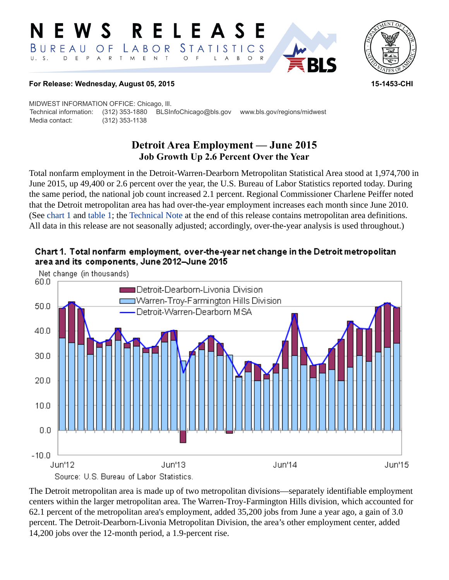#### **RELEAS** STATISTICS BUREAU LABOR O F  $T$  $M_{\odot}$  $E$  N  $\top$  $E$  $\mathsf{R}$  $\circ$  $\circ$



### **For Release: Wednesday, August 05, 2015 15-1453-CHI**

MIDWEST INFORMATION OFFICE: Chicago, Ill. Technical information: (312) 353-1880 BLSInfoChicago@bls.gov www.bls.gov/regions/midwest Media contact: (312) 353-1138

# **Detroit Area Employment — June 2015 Job Growth Up 2.6 Percent Over the Year**

Total nonfarm employment in the Detroit-Warren-Dearborn Metropolitan Statistical Area stood at 1,974,700 in June 2015, up 49,400 or 2.6 percent over the year, the U.S. Bureau of Labor Statistics reported today. During the same period, the national job count increased 2.1 percent. Regional Commissioner Charlene Peiffer noted that the Detroit metropolitan area has had over-the-year employment increases each month since June 2010. (See [chart 1](#page-0-0) and [table 1;](#page-4-0) the [Technical Note](#page-2-0) at the end of this release contains metropolitan area definitions. All data in this release are not seasonally adjusted; accordingly, over-the-year analysis is used throughout.)

<span id="page-0-0"></span>



The Detroit metropolitan area is made up of two metropolitan divisions—separately identifiable employment centers within the larger metropolitan area. The Warren-Troy-Farmington Hills division, which accounted for 62.1 percent of the metropolitan area's employment, added 35,200 jobs from June a year ago, a gain of 3.0 percent. The Detroit-Dearborn-Livonia Metropolitan Division, the area's other employment center, added 14,200 jobs over the 12-month period, a 1.9-percent rise.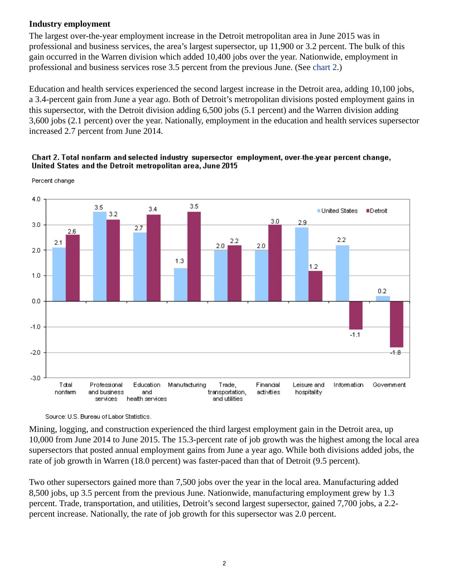## **Industry employment**

The largest over-the-year employment increase in the Detroit metropolitan area in June 2015 was in professional and business services, the area's largest supersector, up 11,900 or 3.2 percent. The bulk of this gain occurred in the Warren division which added 10,400 jobs over the year. Nationwide, employment in professional and business services rose 3.5 percent from the previous June. (See [chart 2.](#page-1-0))

Education and health services experienced the second largest increase in the Detroit area, adding 10,100 jobs, a 3.4-percent gain from June a year ago. Both of Detroit's metropolitan divisions posted employment gains in this supersector, with the Detroit division adding 6,500 jobs (5.1 percent) and the Warren division adding 3,600 jobs (2.1 percent) over the year. Nationally, employment in the education and health services supersector increased 2.7 percent from June 2014.

#### <span id="page-1-0"></span>Chart 2. Total nonfarm and selected industry supersector employment, over-the-year percent change, United States and the Detroit metropolitan area, June 2015



Percent change

Source: U.S. Bureau of Labor Statistics.

Mining, logging, and construction experienced the third largest employment gain in the Detroit area, up 10,000 from June 2014 to June 2015. The 15.3-percent rate of job growth was the highest among the local area supersectors that posted annual employment gains from June a year ago. While both divisions added jobs, the rate of job growth in Warren (18.0 percent) was faster-paced than that of Detroit (9.5 percent).

Two other supersectors gained more than 7,500 jobs over the year in the local area. Manufacturing added 8,500 jobs, up 3.5 percent from the previous June. Nationwide, manufacturing employment grew by 1.3 percent. Trade, transportation, and utilities, Detroit's second largest supersector, gained 7,700 jobs, a 2.2 percent increase. Nationally, the rate of job growth for this supersector was 2.0 percent.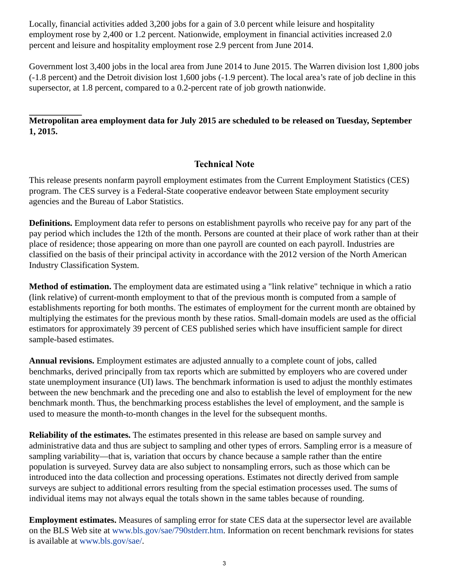Locally, financial activities added 3,200 jobs for a gain of 3.0 percent while leisure and hospitality employment rose by 2,400 or 1.2 percent. Nationwide, employment in financial activities increased 2.0 percent and leisure and hospitality employment rose 2.9 percent from June 2014.

Government lost 3,400 jobs in the local area from June 2014 to June 2015. The Warren division lost 1,800 jobs (-1.8 percent) and the Detroit division lost 1,600 jobs (-1.9 percent). The local area's rate of job decline in this supersector, at 1.8 percent, compared to a 0.2-percent rate of job growth nationwide.

**Metropolitan area employment data for July 2015 are scheduled to be released on Tuesday, September 1, 2015.**

## **Technical Note**

<span id="page-2-0"></span>This release presents nonfarm payroll employment estimates from the Current Employment Statistics (CES) program. The CES survey is a Federal-State cooperative endeavor between State employment security agencies and the Bureau of Labor Statistics.

**Definitions.** Employment data refer to persons on establishment payrolls who receive pay for any part of the pay period which includes the 12th of the month. Persons are counted at their place of work rather than at their place of residence; those appearing on more than one payroll are counted on each payroll. Industries are classified on the basis of their principal activity in accordance with the 2012 version of the North American Industry Classification System.

**Method of estimation.** The employment data are estimated using a "link relative" technique in which a ratio (link relative) of current-month employment to that of the previous month is computed from a sample of establishments reporting for both months. The estimates of employment for the current month are obtained by multiplying the estimates for the previous month by these ratios. Small-domain models are used as the official estimators for approximately 39 percent of CES published series which have insufficient sample for direct sample-based estimates.

**Annual revisions.** Employment estimates are adjusted annually to a complete count of jobs, called benchmarks, derived principally from tax reports which are submitted by employers who are covered under state unemployment insurance (UI) laws. The benchmark information is used to adjust the monthly estimates between the new benchmark and the preceding one and also to establish the level of employment for the new benchmark month. Thus, the benchmarking process establishes the level of employment, and the sample is used to measure the month-to-month changes in the level for the subsequent months.

**Reliability of the estimates.** The estimates presented in this release are based on sample survey and administrative data and thus are subject to sampling and other types of errors. Sampling error is a measure of sampling variability—that is, variation that occurs by chance because a sample rather than the entire population is surveyed. Survey data are also subject to nonsampling errors, such as those which can be introduced into the data collection and processing operations. Estimates not directly derived from sample surveys are subject to additional errors resulting from the special estimation processes used. The sums of individual items may not always equal the totals shown in the same tables because of rounding.

**Employment estimates.** Measures of sampling error for state CES data at the supersector level are available on the BLS Web site at [www.bls.gov/sae/790stderr.htm](https://www.bls.gov/sae/790stderr.htm). Information on recent benchmark revisions for states is available at [www.bls.gov/sae/.](https://www.bls.gov/sae/)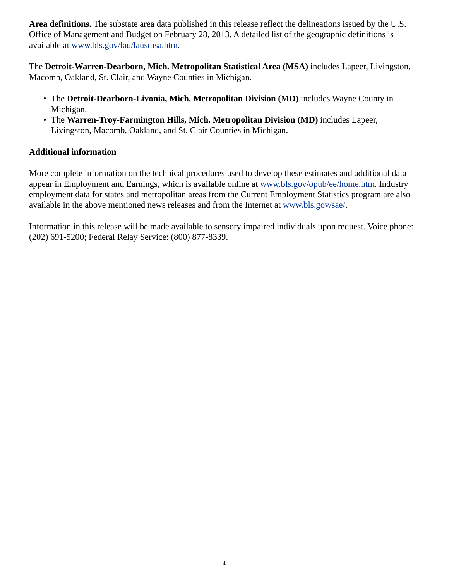**Area definitions.** The substate area data published in this release reflect the delineations issued by the U.S. Office of Management and Budget on February 28, 2013. A detailed list of the geographic definitions is available at [www.bls.gov/lau/lausmsa.htm](https://www.bls.gov/lau/lausmsa.htm).

The **Detroit-Warren-Dearborn, Mich. Metropolitan Statistical Area (MSA)** includes Lapeer, Livingston, Macomb, Oakland, St. Clair, and Wayne Counties in Michigan.

- The **Detroit-Dearborn-Livonia, Mich. Metropolitan Division (MD)** includes Wayne County in Michigan.
- The **Warren-Troy-Farmington Hills, Mich. Metropolitan Division (MD)** includes Lapeer, Livingston, Macomb, Oakland, and St. Clair Counties in Michigan.

## **Additional information**

More complete information on the technical procedures used to develop these estimates and additional data appear in Employment and Earnings, which is available online at [www.bls.gov/opub/ee/home.htm](https://www.bls.gov/opub/ee/home.htm). Industry employment data for states and metropolitan areas from the Current Employment Statistics program are also available in the above mentioned news releases and from the Internet at [www.bls.gov/sae/](https://www.bls.gov/sae/).

Information in this release will be made available to sensory impaired individuals upon request. Voice phone: (202) 691-5200; Federal Relay Service: (800) 877-8339.